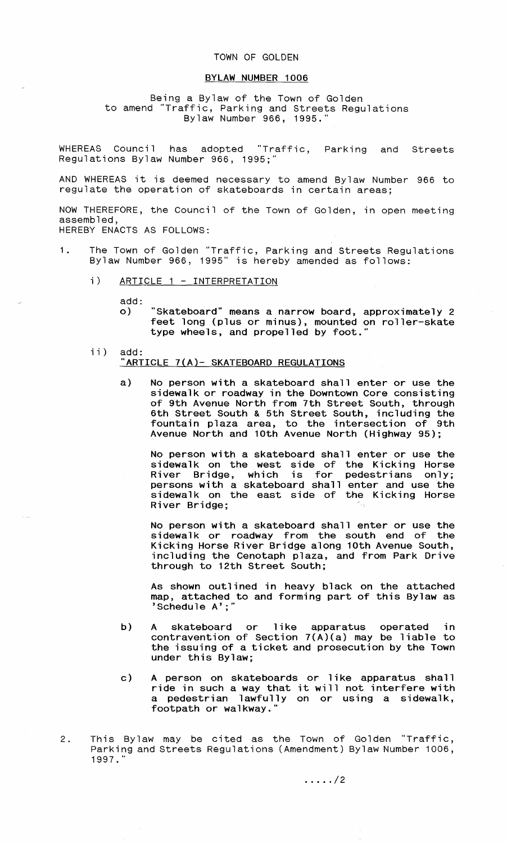## TOWN OF GOLDEN

## **BYLAW NUMBER 1006**

Being a Bylaw of the Town of Golden<br>to amend "Traffic, Parking and Streets Regu Traffic, Parking and Streets Regulations Bylaw Number 966, 1995."

WHEREAS Council has adopted "Traffic, Parking and Streets Regulations Bylaw Number 966, 1995;"

AND WHEREAS it is deemed necessary to amend Bylaw Number 966 to regulate the operation of skateboards in certain areas;

NOW THEREFORE, the Council of the Town of Golden, in open meeting assembled, HEREBY ENACTS AS FOLLOWS:

- 1. The Town of Golden "Traffic, Parking and Streets Regulations Bylaw Number 966, 1995" is hereby amended as follows:
	- i) ARTICLE 1 INTERPRETATION

add:

- **o) "Skateboard" means a narrow board, approximately 2 feet long (plus or minus), mounted on roller-skate type wheels, and propelled by foot."**
- ii) add: **"ARTICLE 7(A)- SKATEBOARD REGULATIONS** 
	- **a) No person with a skateboard shall enter or use the sidewalk or roadway in the Downtown Core consisting of 9th Avenue North from 7th Street South, through 6th Street South** & **5th Street South, including the fountain plaza area, to the intersection of 9th Avenue North and 10th Avenue North (Highway 95);**

**No person with a skateboard shall enter or use the sidewalk on the west side of the Kicking Horse River Bridge, which is for pedestrians only; persons with a skateboard shall enter and use the sidewalk on the east side of the Kicking Horse River Bridge;**

**No person with a skateboard shall enter or use the sidewalk or roadway from the south end of the Kicking Horse River Bridge along 10th Avenue South, including the Cenotaph plaza, and from Park Drive through to 12th Street South;**

**As shown outlined in heavy black on the attached map, attached to and forming part of this Bylaw as 'Schedule A';"**

- **b) A skateboard or like apparatus operated in contravention of Section 7(A)(a) may be liable to the issuing of a ticket and prosecution by the Town under this Bylaw;**
- **c) A person on skateboards or like apparatus shall ride in such a way that it will not interfere with a pedestrian lawfully on or using a sidewalk, footpath or walkway."**
- 2. This Bylaw may be cited as the Town of Golden "Traffic, Parking and Streets Regulations (Amendment) Bylaw Number 1006, 1997."

 $\ldots$  . . . . / 2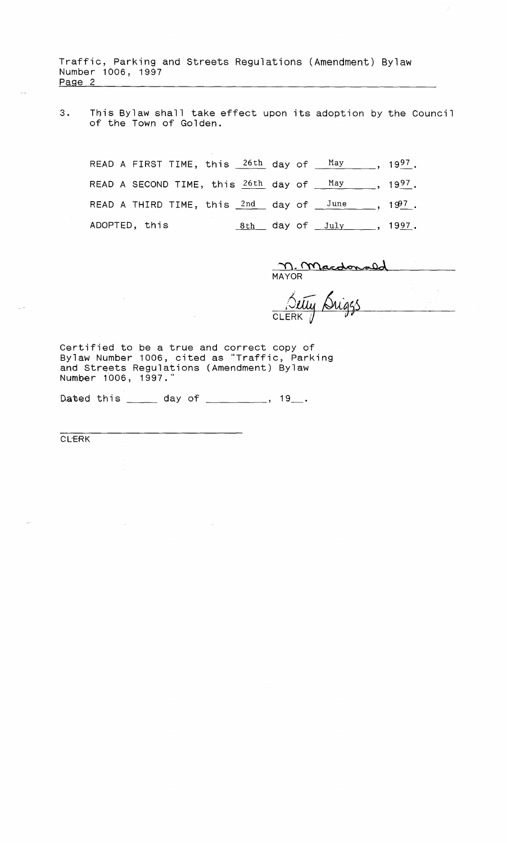Traffic, Parking and Streets Regulations (Amendment) Bylaw Number 1006, 1997<br>Page 2 Traffic, Parking and Streets Regulations (Amendment) Bylaw<br>Number 1006, 1997<br>Page 2

3. This Bylaw shall take effect upon its adoption by the Council of the Town of Golden.

READ A FIRST TIME, this  $26th$  day of  $May$ , 1997. READ A SECOND TIME, this  $26th$  day of  $May$ , 1997. READ A THIRD TIME, this  $2nd$  day of  $\frac{June}{$ , 1997. ADOPTED, this  $8th$  day of July , 1997.

M. Macdonald

Setty Sui **CLERK** 

Certified to be a true and correct copy of Bylaw Number 1006, cited as "Traffic, Parking and Streets Regulations (Amendment) Bylaw Number 1006, 1997."

Dated this \_\_\_\_\_ day of \_\_\_\_\_\_\_\_\_, 19\_\_.

CLERK